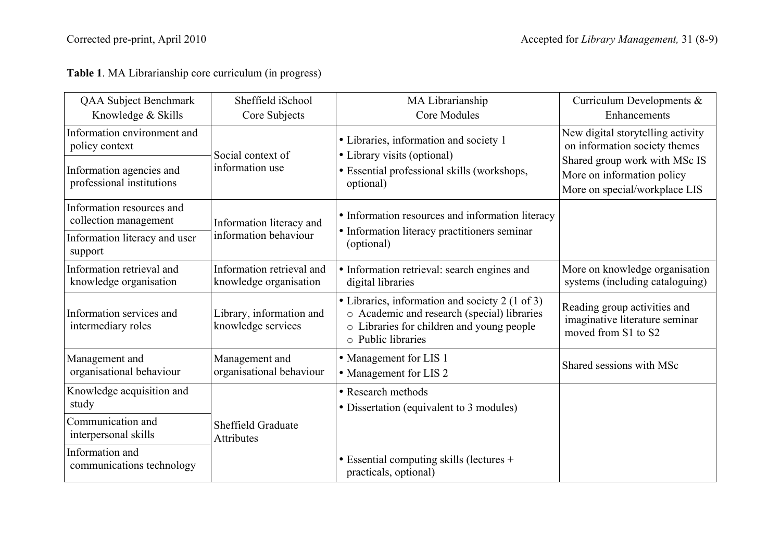| QAA Subject Benchmark                                 | Sheffield iSchool                                   | MA Librarianship                                                                                                                                                        | Curriculum Developments &                                                                           |
|-------------------------------------------------------|-----------------------------------------------------|-------------------------------------------------------------------------------------------------------------------------------------------------------------------------|-----------------------------------------------------------------------------------------------------|
| Knowledge & Skills                                    | Core Subjects                                       | <b>Core Modules</b>                                                                                                                                                     | Enhancements                                                                                        |
| Information environment and<br>policy context         | Social context of                                   | • Libraries, information and society 1<br>• Library visits (optional)                                                                                                   | New digital storytelling activity<br>on information society themes<br>Shared group work with MSc IS |
| Information agencies and<br>professional institutions | information use                                     | • Essential professional skills (workshops,<br>optional)                                                                                                                | More on information policy<br>More on special/workplace LIS                                         |
| Information resources and<br>collection management    | Information literacy and                            | • Information resources and information literacy                                                                                                                        |                                                                                                     |
| Information literacy and user<br>support              | information behaviour                               | • Information literacy practitioners seminar<br>(optional)                                                                                                              |                                                                                                     |
| Information retrieval and<br>knowledge organisation   | Information retrieval and<br>knowledge organisation | · Information retrieval: search engines and<br>digital libraries                                                                                                        | More on knowledge organisation<br>systems (including cataloguing)                                   |
| Information services and<br>intermediary roles        | Library, information and<br>knowledge services      | • Libraries, information and society 2 (1 of 3)<br>o Academic and research (special) libraries<br>o Libraries for children and young people<br>$\circ$ Public libraries | Reading group activities and<br>imaginative literature seminar<br>moved from S1 to S2               |
| Management and<br>organisational behaviour            | Management and<br>organisational behaviour          | • Management for LIS 1<br>• Management for LIS 2                                                                                                                        | Shared sessions with MSc                                                                            |
| Knowledge acquisition and<br>study                    |                                                     | • Research methods<br>• Dissertation (equivalent to 3 modules)                                                                                                          |                                                                                                     |
| Communication and<br>interpersonal skills             | Sheffield Graduate<br><b>Attributes</b>             |                                                                                                                                                                         |                                                                                                     |
| Information and<br>communications technology          |                                                     | • Essential computing skills (lectures +<br>practicals, optional)                                                                                                       |                                                                                                     |

**Table 1**. MA Librarianship core curriculum (in progress)